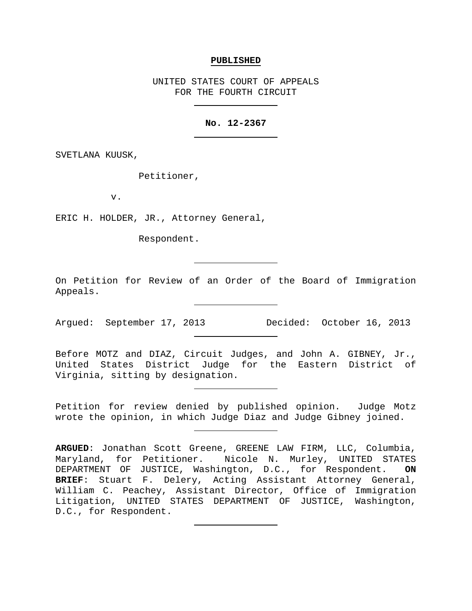#### **PUBLISHED**

UNITED STATES COURT OF APPEALS FOR THE FOURTH CIRCUIT

# **No. 12-2367**

SVETLANA KUUSK,

Petitioner,

v.

ERIC H. HOLDER, JR., Attorney General,

Respondent.

On Petition for Review of an Order of the Board of Immigration Appeals.

Argued: September 17, 2013 Decided: October 16, 2013

Before MOTZ and DIAZ, Circuit Judges, and John A. GIBNEY, Jr., United States District Judge for the Eastern District of Virginia, sitting by designation.

Petition for review denied by published opinion. Judge Motz wrote the opinion, in which Judge Diaz and Judge Gibney joined.

**ARGUED**: Jonathan Scott Greene, GREENE LAW FIRM, LLC, Columbia, Maryland, for Petitioner. Nicole N. Murley, UNITED STATES DEPARTMENT OF JUSTICE, Washington, D.C., for Respondent. **ON BRIEF**: Stuart F. Delery, Acting Assistant Attorney General, William C. Peachey, Assistant Director, Office of Immigration Litigation, UNITED STATES DEPARTMENT OF JUSTICE, Washington, D.C., for Respondent.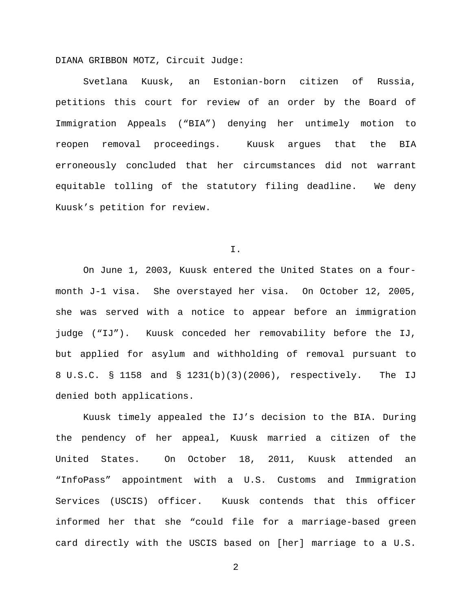DIANA GRIBBON MOTZ, Circuit Judge:

Svetlana Kuusk, an Estonian-born citizen of Russia, petitions this court for review of an order by the Board of Immigration Appeals ("BIA") denying her untimely motion to reopen removal proceedings. Kuusk argues that the BIA erroneously concluded that her circumstances did not warrant equitable tolling of the statutory filing deadline. We deny Kuusk's petition for review.

I.

On June 1, 2003, Kuusk entered the United States on a fourmonth J-1 visa. She overstayed her visa. On October 12, 2005, she was served with a notice to appear before an immigration judge ("IJ"). Kuusk conceded her removability before the IJ, but applied for asylum and withholding of removal pursuant to 8 U.S.C. § 1158 and § 1231(b)(3)(2006), respectively. The IJ denied both applications.

Kuusk timely appealed the IJ's decision to the BIA. During the pendency of her appeal, Kuusk married a citizen of the United States. On October 18, 2011, Kuusk attended an "InfoPass" appointment with a U.S. Customs and Immigration Services (USCIS) officer. Kuusk contends that this officer informed her that she "could file for a marriage-based green card directly with the USCIS based on [her] marriage to a U.S.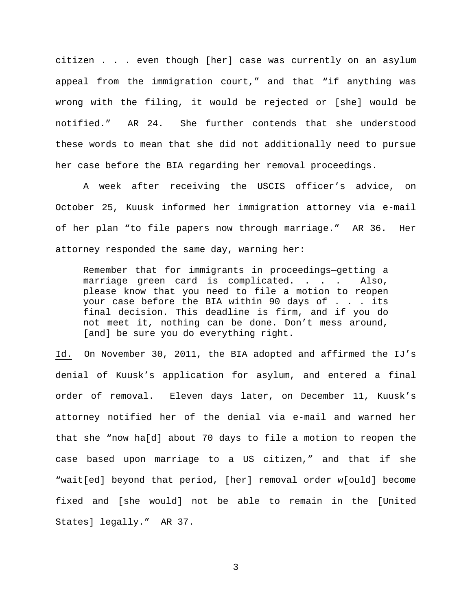citizen . . . even though [her] case was currently on an asylum appeal from the immigration court," and that "if anything was wrong with the filing, it would be rejected or [she] would be notified." AR 24. She further contends that she understood these words to mean that she did not additionally need to pursue her case before the BIA regarding her removal proceedings.

A week after receiving the USCIS officer's advice, on October 25, Kuusk informed her immigration attorney via e-mail of her plan "to file papers now through marriage." AR 36. Her attorney responded the same day, warning her:

Remember that for immigrants in proceedings—getting a marriage green card is complicated. . . . Also, please know that you need to file a motion to reopen your case before the BIA within 90 days of . . . its final decision. This deadline is firm, and if you do not meet it, nothing can be done. Don't mess around, [and] be sure you do everything right.

Id. On November 30, 2011, the BIA adopted and affirmed the IJ's denial of Kuusk's application for asylum, and entered a final order of removal. Eleven days later, on December 11, Kuusk's attorney notified her of the denial via e-mail and warned her that she "now ha[d] about 70 days to file a motion to reopen the case based upon marriage to a US citizen," and that if she "wait[ed] beyond that period, [her] removal order w[ould] become fixed and [she would] not be able to remain in the [United States] legally." AR 37.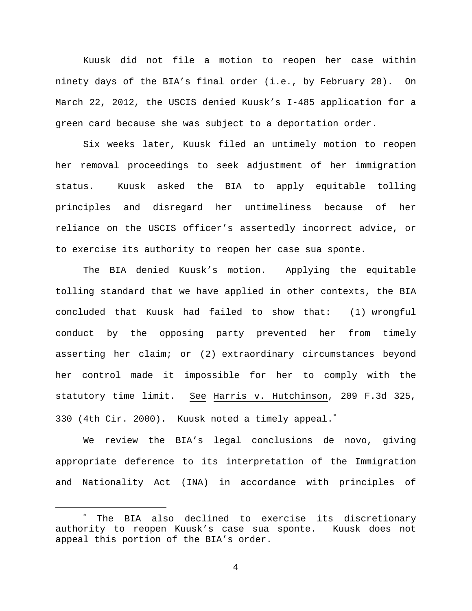Kuusk did not file a motion to reopen her case within ninety days of the BIA's final order (i.e., by February 28). On March 22, 2012, the USCIS denied Kuusk's I-485 application for a green card because she was subject to a deportation order.

Six weeks later, Kuusk filed an untimely motion to reopen her removal proceedings to seek adjustment of her immigration status. Kuusk asked the BIA to apply equitable tolling principles and disregard her untimeliness because of her reliance on the USCIS officer's assertedly incorrect advice, or to exercise its authority to reopen her case sua sponte.

The BIA denied Kuusk's motion. Applying the equitable tolling standard that we have applied in other contexts, the BIA concluded that Kuusk had failed to show that: (1) wrongful conduct by the opposing party prevented her from timely asserting her claim; or (2) extraordinary circumstances beyond her control made it impossible for her to comply with the statutory time limit. See Harris v. Hutchinson, 209 F.3d 325, 330 (4th Cir. 2000). Kuusk noted a timely appeal.<sup>\*</sup>

We review the BIA's legal conclusions de novo, giving appropriate deference to its interpretation of the Immigration and Nationality Act (INA) in accordance with principles of

<span id="page-3-0"></span>The BIA also declined to exercise its discretionary authority to reopen Kuusk's case sua sponte. Kuusk does not appeal this portion of the BIA's order.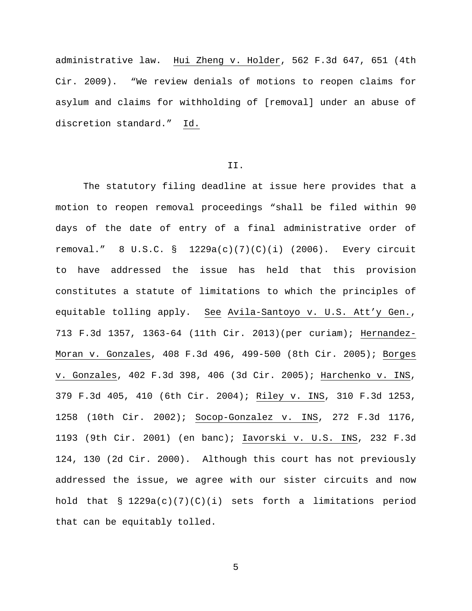administrative law. Hui Zheng v. Holder, 562 F.3d 647, 651 (4th Cir. 2009). "We review denials of motions to reopen claims for asylum and claims for withholding of [removal] under an abuse of discretion standard." Id.

## II.

The statutory filing deadline at issue here provides that a motion to reopen removal proceedings "shall be filed within 90 days of the date of entry of a final administrative order of removal." 8 U.S.C. § 1229a(c)(7)(C)(i) (2006). Every circuit to have addressed the issue has held that this provision constitutes a statute of limitations to which the principles of equitable tolling apply. See Avila-Santoyo v. U.S. Att'y Gen., 713 F.3d 1357, 1363-64 (11th Cir. 2013)(per curiam); Hernandez-Moran v. Gonzales, 408 F.3d 496, 499-500 (8th Cir. 2005); Borges v. Gonzales, 402 F.3d 398, 406 (3d Cir. 2005); Harchenko v. INS, 379 F.3d 405, 410 (6th Cir. 2004); Riley v. INS, 310 F.3d 1253, 1258 (10th Cir. 2002); Socop-Gonzalez v. INS, 272 F.3d 1176, 1193 (9th Cir. 2001) (en banc); Iavorski v. U.S. INS, 232 F.3d 124, 130 (2d Cir. 2000). Although this court has not previously addressed the issue, we agree with our sister circuits and now hold that  $\S$  1229a(c)(7)(C)(i) sets forth a limitations period that can be equitably tolled.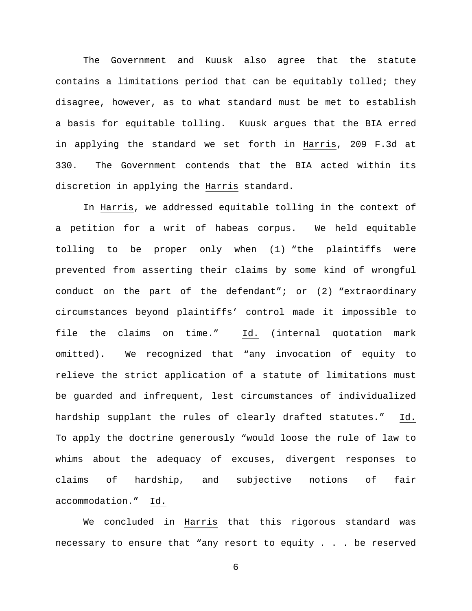The Government and Kuusk also agree that the statute contains a limitations period that can be equitably tolled; they disagree, however, as to what standard must be met to establish a basis for equitable tolling. Kuusk argues that the BIA erred in applying the standard we set forth in Harris, 209 F.3d at 330. The Government contends that the BIA acted within its discretion in applying the Harris standard.

In Harris, we addressed equitable tolling in the context of a petition for a writ of habeas corpus. We held equitable tolling to be proper only when (1) "the plaintiffs were prevented from asserting their claims by some kind of wrongful conduct on the part of the defendant"; or (2) "extraordinary circumstances beyond plaintiffs' control made it impossible to file the claims on time." Id. (internal quotation mark omitted). We recognized that "any invocation of equity to relieve the strict application of a statute of limitations must be guarded and infrequent, lest circumstances of individualized hardship supplant the rules of clearly drafted statutes." Id. To apply the doctrine generously "would loose the rule of law to whims about the adequacy of excuses, divergent responses to claims of hardship, and subjective notions of fair accommodation." Id.

We concluded in Harris that this rigorous standard was necessary to ensure that "any resort to equity . . . be reserved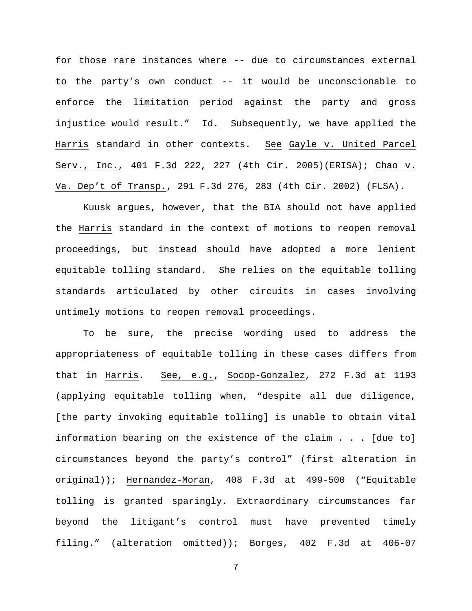for those rare instances where -- due to circumstances external to the party's own conduct -- it would be unconscionable to enforce the limitation period against the party and gross injustice would result." Id. Subsequently, we have applied the Harris standard in other contexts. See Gayle v. United Parcel Serv., Inc., 401 F.3d 222, 227 (4th Cir. 2005)(ERISA); Chao v. Va. Dep't of Transp., 291 F.3d 276, 283 (4th Cir. 2002) (FLSA).

Kuusk argues, however, that the BIA should not have applied the Harris standard in the context of motions to reopen removal proceedings, but instead should have adopted a more lenient equitable tolling standard. She relies on the equitable tolling standards articulated by other circuits in cases involving untimely motions to reopen removal proceedings.

To be sure, the precise wording used to address the appropriateness of equitable tolling in these cases differs from that in Harris. See, e.g., Socop-Gonzalez, 272 F.3d at 1193 (applying equitable tolling when, "despite all due diligence, [the party invoking equitable tolling] is unable to obtain vital information bearing on the existence of the claim . . . [due to] circumstances beyond the party's control" (first alteration in original)); Hernandez-Moran, 408 F.3d at 499-500 ("Equitable tolling is granted sparingly. Extraordinary circumstances far beyond the litigant's control must have prevented timely filing." (alteration omitted)); Borges, 402 F.3d at 406-07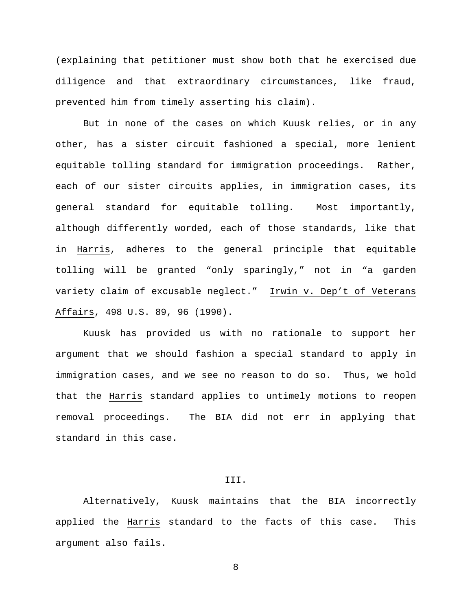(explaining that petitioner must show both that he exercised due diligence and that extraordinary circumstances, like fraud, prevented him from timely asserting his claim).

But in none of the cases on which Kuusk relies, or in any other, has a sister circuit fashioned a special, more lenient equitable tolling standard for immigration proceedings. Rather, each of our sister circuits applies, in immigration cases, its general standard for equitable tolling. Most importantly, although differently worded, each of those standards, like that in Harris, adheres to the general principle that equitable tolling will be granted "only sparingly," not in "a garden variety claim of excusable neglect." Irwin v. Dep't of Veterans Affairs, 498 U.S. 89, 96 (1990).

Kuusk has provided us with no rationale to support her argument that we should fashion a special standard to apply in immigration cases, and we see no reason to do so. Thus, we hold that the Harris standard applies to untimely motions to reopen removal proceedings. The BIA did not err in applying that standard in this case.

### III.

Alternatively, Kuusk maintains that the BIA incorrectly applied the Harris standard to the facts of this case. This argument also fails.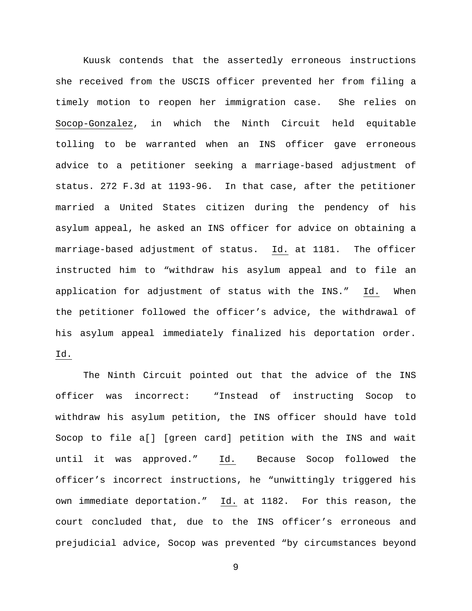Kuusk contends that the assertedly erroneous instructions she received from the USCIS officer prevented her from filing a timely motion to reopen her immigration case. She relies on Socop-Gonzalez, in which the Ninth Circuit held equitable tolling to be warranted when an INS officer gave erroneous advice to a petitioner seeking a marriage-based adjustment of status. 272 F.3d at 1193-96. In that case, after the petitioner married a United States citizen during the pendency of his asylum appeal, he asked an INS officer for advice on obtaining a marriage-based adjustment of status. Id. at 1181. The officer instructed him to "withdraw his asylum appeal and to file an application for adjustment of status with the INS." Id. When the petitioner followed the officer's advice, the withdrawal of his asylum appeal immediately finalized his deportation order. Id.

The Ninth Circuit pointed out that the advice of the INS officer was incorrect: "Instead of instructing Socop to withdraw his asylum petition, the INS officer should have told Socop to file a[] [green card] petition with the INS and wait until it was approved." Id. Because Socop followed the officer's incorrect instructions, he "unwittingly triggered his own immediate deportation." Id. at 1182. For this reason, the court concluded that, due to the INS officer's erroneous and prejudicial advice, Socop was prevented "by circumstances beyond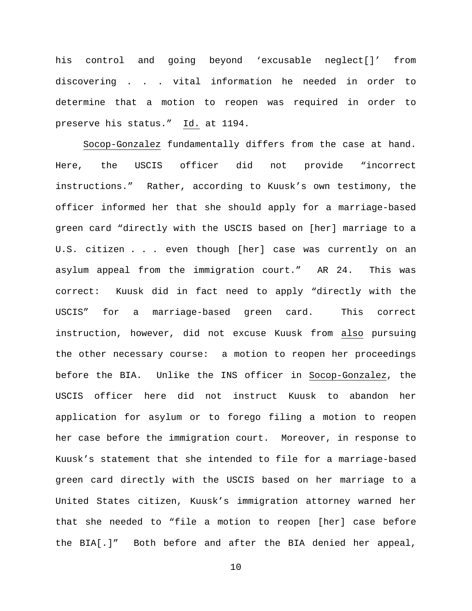his control and going beyond 'excusable neglect[]' from discovering . . . vital information he needed in order to determine that a motion to reopen was required in order to preserve his status." Id. at 1194.

Socop-Gonzalez fundamentally differs from the case at hand. Here, the USCIS officer did not provide "incorrect instructions." Rather, according to Kuusk's own testimony, the officer informed her that she should apply for a marriage-based green card "directly with the USCIS based on [her] marriage to a U.S. citizen . . . even though [her] case was currently on an asylum appeal from the immigration court." AR 24. This was correct: Kuusk did in fact need to apply "directly with the USCIS" for a marriage-based green card. This correct instruction, however, did not excuse Kuusk from also pursuing the other necessary course: a motion to reopen her proceedings before the BIA. Unlike the INS officer in Socop-Gonzalez, the USCIS officer here did not instruct Kuusk to abandon her application for asylum or to forego filing a motion to reopen her case before the immigration court. Moreover, in response to Kuusk's statement that she intended to file for a marriage-based green card directly with the USCIS based on her marriage to a United States citizen, Kuusk's immigration attorney warned her that she needed to "file a motion to reopen [her] case before the BIA[.]" Both before and after the BIA denied her appeal,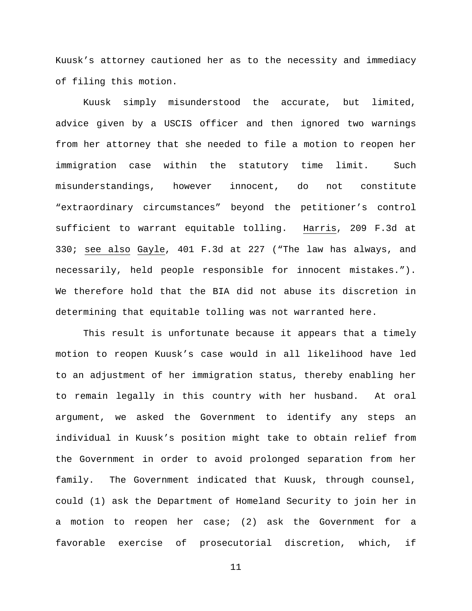Kuusk's attorney cautioned her as to the necessity and immediacy of filing this motion.

Kuusk simply misunderstood the accurate, but limited, advice given by a USCIS officer and then ignored two warnings from her attorney that she needed to file a motion to reopen her immigration case within the statutory time limit. Such misunderstandings, however innocent, do not constitute "extraordinary circumstances" beyond the petitioner's control sufficient to warrant equitable tolling. Harris, 209 F.3d at 330; see also Gayle, 401 F.3d at 227 ("The law has always, and necessarily, held people responsible for innocent mistakes."). We therefore hold that the BIA did not abuse its discretion in determining that equitable tolling was not warranted here.

This result is unfortunate because it appears that a timely motion to reopen Kuusk's case would in all likelihood have led to an adjustment of her immigration status, thereby enabling her to remain legally in this country with her husband. At oral argument, we asked the Government to identify any steps an individual in Kuusk's position might take to obtain relief from the Government in order to avoid prolonged separation from her family. The Government indicated that Kuusk, through counsel, could (1) ask the Department of Homeland Security to join her in a motion to reopen her case; (2) ask the Government for a favorable exercise of prosecutorial discretion, which, if